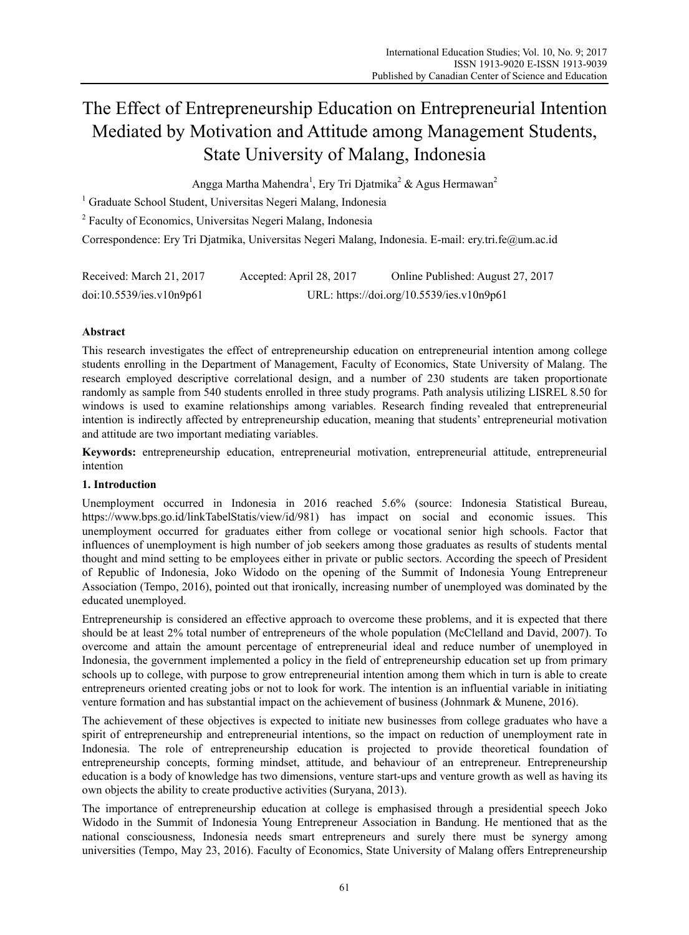# The Effect of Entrepreneurship Education on Entrepreneurial Intention Mediated by Motivation and Attitude among Management Students, State University of Malang, Indonesia

Angga Martha Mahendra<sup>1</sup>, Ery Tri Djatmika<sup>2</sup> & Agus Hermawan<sup>2</sup>

<sup>1</sup> Graduate School Student, Universitas Negeri Malang, Indonesia

<sup>2</sup> Faculty of Economics, Universitas Negeri Malang, Indonesia

Correspondence: Ery Tri Djatmika, Universitas Negeri Malang, Indonesia. E-mail: ery.tri.fe@um.ac.id

| Received: March 21, 2017 | Accepted: April 28, 2017 | Online Published: August 27, 2017         |
|--------------------------|--------------------------|-------------------------------------------|
| doi:10.5539/ies.v10n9p61 |                          | URL: https://doi.org/10.5539/ies.v10n9p61 |

# **Abstract**

This research investigates the effect of entrepreneurship education on entrepreneurial intention among college students enrolling in the Department of Management, Faculty of Economics, State University of Malang. The research employed descriptive correlational design, and a number of 230 students are taken proportionate randomly as sample from 540 students enrolled in three study programs. Path analysis utilizing LISREL 8.50 for windows is used to examine relationships among variables. Research finding revealed that entrepreneurial intention is indirectly affected by entrepreneurship education, meaning that students' entrepreneurial motivation and attitude are two important mediating variables.

**Keywords:** entrepreneurship education, entrepreneurial motivation, entrepreneurial attitude, entrepreneurial intention

## **1. Introduction**

Unemployment occurred in Indonesia in 2016 reached 5.6% (source: Indonesia Statistical Bureau, https://www.bps.go.id/linkTabelStatis/view/id/981) has impact on social and economic issues. This unemployment occurred for graduates either from college or vocational senior high schools. Factor that influences of unemployment is high number of job seekers among those graduates as results of students mental thought and mind setting to be employees either in private or public sectors. According the speech of President of Republic of Indonesia, Joko Widodo on the opening of the Summit of Indonesia Young Entrepreneur Association (Tempo, 2016), pointed out that ironically, increasing number of unemployed was dominated by the educated unemployed.

Entrepreneurship is considered an effective approach to overcome these problems, and it is expected that there should be at least 2% total number of entrepreneurs of the whole population (McClelland and David, 2007). To overcome and attain the amount percentage of entrepreneurial ideal and reduce number of unemployed in Indonesia, the government implemented a policy in the field of entrepreneurship education set up from primary schools up to college, with purpose to grow entrepreneurial intention among them which in turn is able to create entrepreneurs oriented creating jobs or not to look for work. The intention is an influential variable in initiating venture formation and has substantial impact on the achievement of business (Johnmark & Munene, 2016).

The achievement of these objectives is expected to initiate new businesses from college graduates who have a spirit of entrepreneurship and entrepreneurial intentions, so the impact on reduction of unemployment rate in Indonesia. The role of entrepreneurship education is projected to provide theoretical foundation of entrepreneurship concepts, forming mindset, attitude, and behaviour of an entrepreneur. Entrepreneurship education is a body of knowledge has two dimensions, venture start-ups and venture growth as well as having its own objects the ability to create productive activities (Suryana, 2013).

The importance of entrepreneurship education at college is emphasised through a presidential speech Joko Widodo in the Summit of Indonesia Young Entrepreneur Association in Bandung. He mentioned that as the national consciousness, Indonesia needs smart entrepreneurs and surely there must be synergy among universities (Tempo, May 23, 2016). Faculty of Economics, State University of Malang offers Entrepreneurship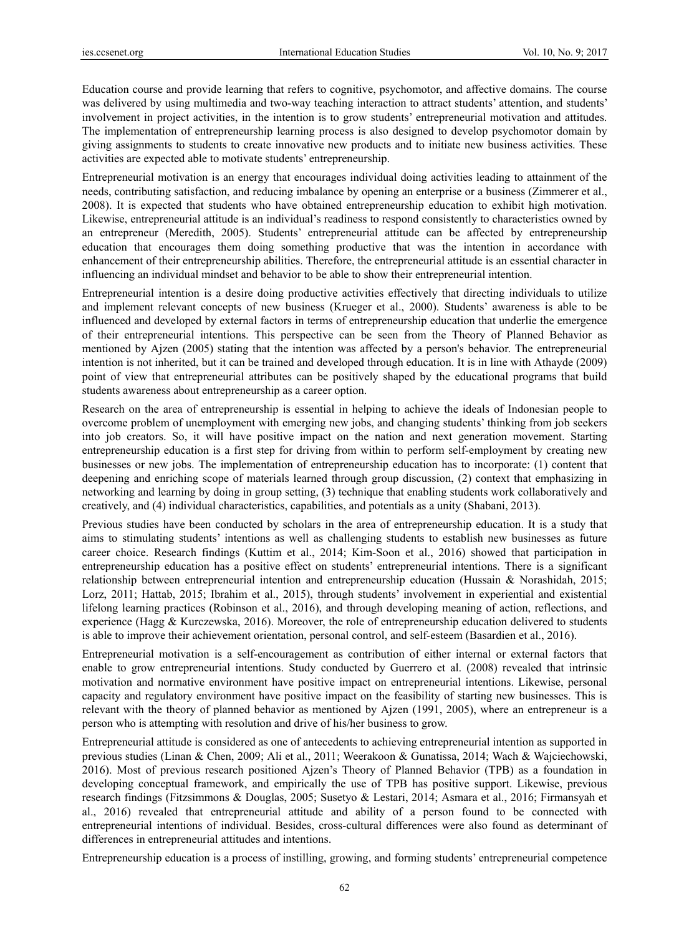Education course and provide learning that refers to cognitive, psychomotor, and affective domains. The course was delivered by using multimedia and two-way teaching interaction to attract students' attention, and students' involvement in project activities, in the intention is to grow students' entrepreneurial motivation and attitudes. The implementation of entrepreneurship learning process is also designed to develop psychomotor domain by giving assignments to students to create innovative new products and to initiate new business activities. These activities are expected able to motivate students' entrepreneurship.

Entrepreneurial motivation is an energy that encourages individual doing activities leading to attainment of the needs, contributing satisfaction, and reducing imbalance by opening an enterprise or a business (Zimmerer et al., 2008). It is expected that students who have obtained entrepreneurship education to exhibit high motivation. Likewise, entrepreneurial attitude is an individual's readiness to respond consistently to characteristics owned by an entrepreneur (Meredith, 2005). Students' entrepreneurial attitude can be affected by entrepreneurship education that encourages them doing something productive that was the intention in accordance with enhancement of their entrepreneurship abilities. Therefore, the entrepreneurial attitude is an essential character in influencing an individual mindset and behavior to be able to show their entrepreneurial intention.

Entrepreneurial intention is a desire doing productive activities effectively that directing individuals to utilize and implement relevant concepts of new business (Krueger et al., 2000). Students' awareness is able to be influenced and developed by external factors in terms of entrepreneurship education that underlie the emergence of their entrepreneurial intentions. This perspective can be seen from the Theory of Planned Behavior as mentioned by Ajzen (2005) stating that the intention was affected by a person's behavior. The entrepreneurial intention is not inherited, but it can be trained and developed through education. It is in line with Athayde (2009) point of view that entrepreneurial attributes can be positively shaped by the educational programs that build students awareness about entrepreneurship as a career option.

Research on the area of entrepreneurship is essential in helping to achieve the ideals of Indonesian people to overcome problem of unemployment with emerging new jobs, and changing students' thinking from job seekers into job creators. So, it will have positive impact on the nation and next generation movement. Starting entrepreneurship education is a first step for driving from within to perform self-employment by creating new businesses or new jobs. The implementation of entrepreneurship education has to incorporate: (1) content that deepening and enriching scope of materials learned through group discussion, (2) context that emphasizing in networking and learning by doing in group setting, (3) technique that enabling students work collaboratively and creatively, and (4) individual characteristics, capabilities, and potentials as a unity (Shabani, 2013).

Previous studies have been conducted by scholars in the area of entrepreneurship education. It is a study that aims to stimulating students' intentions as well as challenging students to establish new businesses as future career choice. Research findings (Kuttim et al., 2014; Kim-Soon et al., 2016) showed that participation in entrepreneurship education has a positive effect on students' entrepreneurial intentions. There is a significant relationship between entrepreneurial intention and entrepreneurship education (Hussain & Norashidah, 2015; Lorz, 2011; Hattab, 2015; Ibrahim et al., 2015), through students' involvement in experiential and existential lifelong learning practices (Robinson et al., 2016), and through developing meaning of action, reflections, and experience (Hagg & Kurczewska, 2016). Moreover, the role of entrepreneurship education delivered to students is able to improve their achievement orientation, personal control, and self-esteem (Basardien et al., 2016).

Entrepreneurial motivation is a self-encouragement as contribution of either internal or external factors that enable to grow entrepreneurial intentions. Study conducted by Guerrero et al. (2008) revealed that intrinsic motivation and normative environment have positive impact on entrepreneurial intentions. Likewise, personal capacity and regulatory environment have positive impact on the feasibility of starting new businesses. This is relevant with the theory of planned behavior as mentioned by Ajzen (1991, 2005), where an entrepreneur is a person who is attempting with resolution and drive of his/her business to grow.

Entrepreneurial attitude is considered as one of antecedents to achieving entrepreneurial intention as supported in previous studies (Linan & Chen, 2009; Ali et al., 2011; Weerakoon & Gunatissa, 2014; Wach & Wajciechowski, 2016). Most of previous research positioned Ajzen's Theory of Planned Behavior (TPB) as a foundation in developing conceptual framework, and empirically the use of TPB has positive support. Likewise, previous research findings (Fitzsimmons & Douglas, 2005; Susetyo & Lestari, 2014; Asmara et al., 2016; Firmansyah et al., 2016) revealed that entrepreneurial attitude and ability of a person found to be connected with entrepreneurial intentions of individual. Besides, cross-cultural differences were also found as determinant of differences in entrepreneurial attitudes and intentions.

Entrepreneurship education is a process of instilling, growing, and forming students' entrepreneurial competence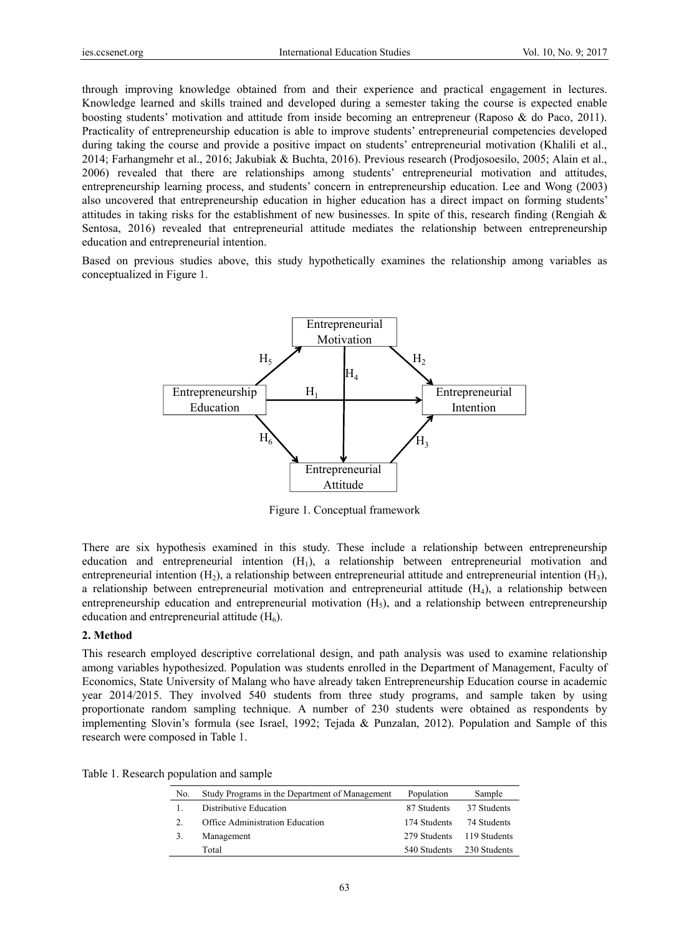through improving knowledge obtained from and their experience and practical engagement in lectures. Knowledge learned and skills trained and developed during a semester taking the course is expected enable boosting students' motivation and attitude from inside becoming an entrepreneur (Raposo & do Paco, 2011). Practicality of entrepreneurship education is able to improve students' entrepreneurial competencies developed during taking the course and provide a positive impact on students' entrepreneurial motivation (Khalili et al., 2014; Farhangmehr et al., 2016; Jakubiak & Buchta, 2016). Previous research (Prodjosoesilo, 2005; Alain et al., 2006) revealed that there are relationships among students' entrepreneurial motivation and attitudes, entrepreneurship learning process, and students' concern in entrepreneurship education. Lee and Wong (2003) also uncovered that entrepreneurship education in higher education has a direct impact on forming students' attitudes in taking risks for the establishment of new businesses. In spite of this, research finding (Rengiah  $\&$ Sentosa, 2016) revealed that entrepreneurial attitude mediates the relationship between entrepreneurship education and entrepreneurial intention.

Based on previous studies above, this study hypothetically examines the relationship among variables as conceptualized in Figure 1.



Figure 1. Conceptual framework

There are six hypothesis examined in this study. These include a relationship between entrepreneurship education and entrepreneurial intention  $(H_1)$ , a relationship between entrepreneurial motivation and entrepreneurial intention  $(H_2)$ , a relationship between entrepreneurial attitude and entrepreneurial intention  $(H_3)$ , a relationship between entrepreneurial motivation and entrepreneurial attitude  $(H_4)$ , a relationship between entrepreneurship education and entrepreneurial motivation  $(H<sub>5</sub>)$ , and a relationship between entrepreneurship education and entrepreneurial attitude  $(H_6)$ .

#### **2. Method**

This research employed descriptive correlational design, and path analysis was used to examine relationship among variables hypothesized. Population was students enrolled in the Department of Management, Faculty of Economics, State University of Malang who have already taken Entrepreneurship Education course in academic year 2014/2015. They involved 540 students from three study programs, and sample taken by using proportionate random sampling technique. A number of 230 students were obtained as respondents by implementing Slovin's formula (see Israel, 1992; Tejada & Punzalan, 2012). Population and Sample of this research were composed in Table 1.

|  | Table 1. Research population and sample |
|--|-----------------------------------------|
|--|-----------------------------------------|

| No.     | Study Programs in the Department of Management | Population   | Sample       |
|---------|------------------------------------------------|--------------|--------------|
|         | Distributive Education                         | 87 Students  | 37 Students  |
| $2_{-}$ | Office Administration Education                | 174 Students | 74 Students  |
| 3.      | Management                                     | 279 Students | 119 Students |
|         | Total                                          | 540 Students | 230 Students |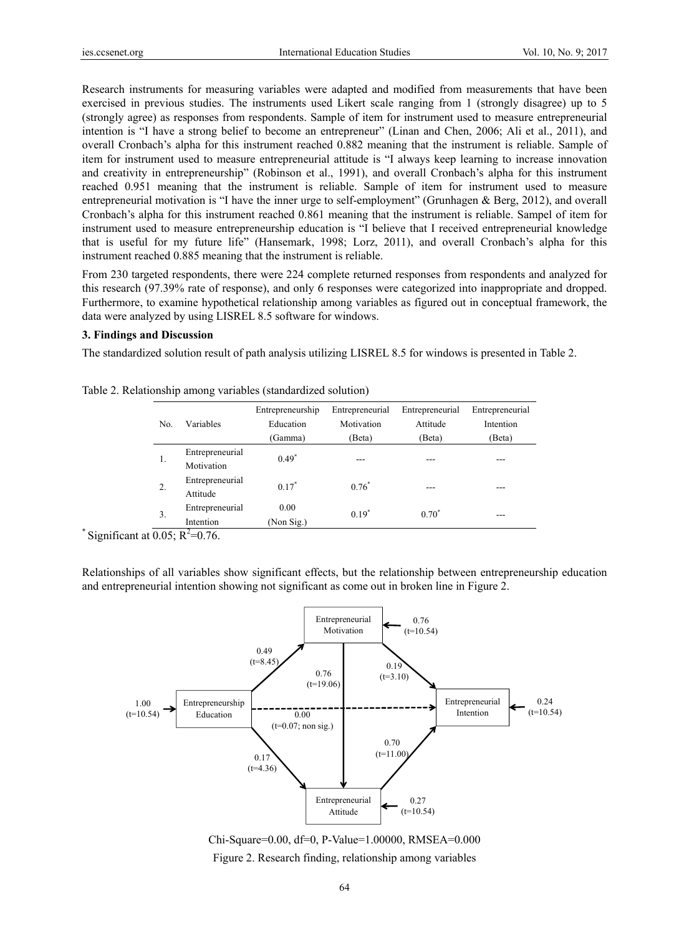Research instruments for measuring variables were adapted and modified from measurements that have been exercised in previous studies. The instruments used Likert scale ranging from 1 (strongly disagree) up to 5 (strongly agree) as responses from respondents. Sample of item for instrument used to measure entrepreneurial intention is "I have a strong belief to become an entrepreneur" (Linan and Chen, 2006; Ali et al., 2011), and overall Cronbach's alpha for this instrument reached 0.882 meaning that the instrument is reliable. Sample of item for instrument used to measure entrepreneurial attitude is "I always keep learning to increase innovation and creativity in entrepreneurship" (Robinson et al., 1991), and overall Cronbach's alpha for this instrument reached 0.951 meaning that the instrument is reliable. Sample of item for instrument used to measure entrepreneurial motivation is "I have the inner urge to self-employment" (Grunhagen & Berg, 2012), and overall Cronbach's alpha for this instrument reached 0.861 meaning that the instrument is reliable. Sampel of item for instrument used to measure entrepreneurship education is "I believe that I received entrepreneurial knowledge that is useful for my future life" (Hansemark, 1998; Lorz, 2011), and overall Cronbach's alpha for this instrument reached 0.885 meaning that the instrument is reliable.

From 230 targeted respondents, there were 224 complete returned responses from respondents and analyzed for this research (97.39% rate of response), and only 6 responses were categorized into inappropriate and dropped. Furthermore, to examine hypothetical relationship among variables as figured out in conceptual framework, the data were analyzed by using LISREL 8.5 software for windows.

## **3. Findings and Discussion**

The standardized solution result of path analysis utilizing LISREL 8.5 for windows is presented in Table 2.

| No. | Variables                                           | Entrepreneurship   | Entrepreneurial | Entrepreneurial | Entrepreneurial |
|-----|-----------------------------------------------------|--------------------|-----------------|-----------------|-----------------|
|     |                                                     | Education          | Motivation      | Attitude        | Intention       |
|     |                                                     | (Gamma)            | (Beta)          | (Beta)          | (Beta)          |
| 1.  | Entrepreneurial<br>Motivation                       | $0.49*$            |                 |                 |                 |
| 2.  | Entrepreneurial<br>Attitude                         | $0.17*$            | $0.76^*$        | ---             |                 |
| 3.  | Entrepreneurial<br>Intention<br>$- - - - - - - - -$ | 0.00<br>(Non Sig.) | $0.19*$         | $0.70^*$        | ---             |

Table 2. Relationship among variables (standardized solution)

\* Significant at  $\overline{0.05}$ ; R<sup>2</sup>=0.76.

Relationships of all variables show significant effects, but the relationship between entrepreneurship education and entrepreneurial intention showing not significant as come out in broken line in Figure 2.



Chi-Square=0.00, df=0, P-Value=1.00000, RMSEA=0.000 Figure 2. Research finding, relationship among variables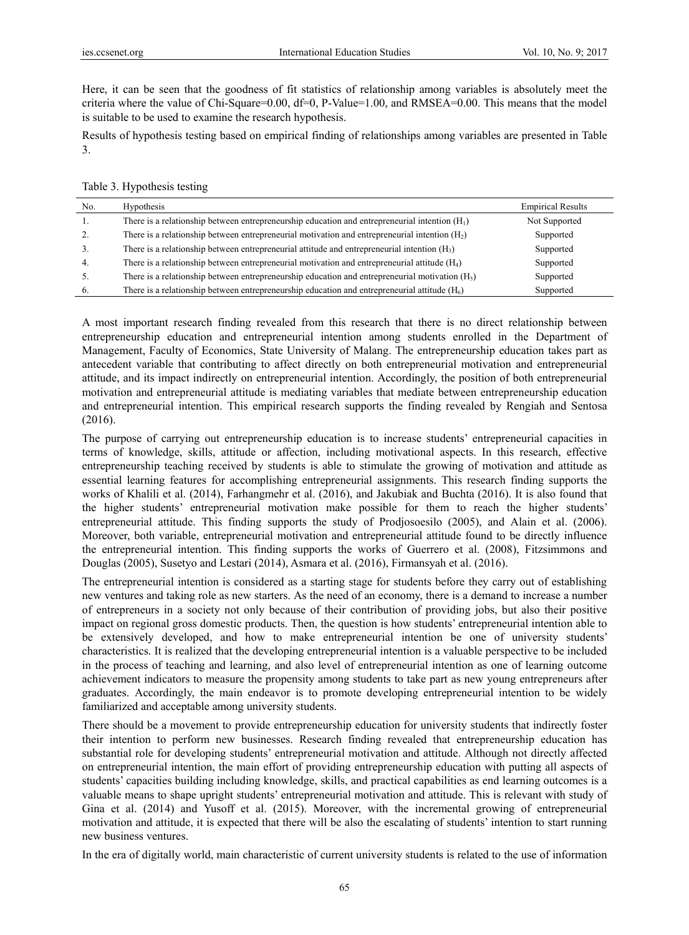Here, it can be seen that the goodness of fit statistics of relationship among variables is absolutely meet the criteria where the value of Chi-Square=0.00, df=0, P-Value=1.00, and RMSEA=0.00. This means that the model is suitable to be used to examine the research hypothesis.

Results of hypothesis testing based on empirical finding of relationships among variables are presented in Table 3.

| No.            | <b>Hypothesis</b>                                                                                | <b>Empirical Results</b> |
|----------------|--------------------------------------------------------------------------------------------------|--------------------------|
| 1.             | There is a relationship between entrepreneurship education and entrepreneurial intention $(H_1)$ | Not Supported            |
| 2.             | There is a relationship between entrepreneurial motivation and entrepreneurial intention $(H_2)$ | Supported                |
| 3 <sub>1</sub> | There is a relationship between entrepreneurial attitude and entrepreneurial intention $(H_3)$   | Supported                |
| $\mathbf{4}$   | There is a relationship between entrepreneurial motivation and entrepreneurial attitude $(H_4)$  | Supported                |
| 5.             | There is a relationship between entrepreneurship education and entrepreneurial motivation $(H5)$ | Supported                |
| 6.             | There is a relationship between entrepreneurship education and entrepreneurial attitude $(H_6)$  | Supported                |

A most important research finding revealed from this research that there is no direct relationship between entrepreneurship education and entrepreneurial intention among students enrolled in the Department of Management, Faculty of Economics, State University of Malang. The entrepreneurship education takes part as antecedent variable that contributing to affect directly on both entrepreneurial motivation and entrepreneurial attitude, and its impact indirectly on entrepreneurial intention. Accordingly, the position of both entrepreneurial motivation and entrepreneurial attitude is mediating variables that mediate between entrepreneurship education and entrepreneurial intention. This empirical research supports the finding revealed by Rengiah and Sentosa (2016).

The purpose of carrying out entrepreneurship education is to increase students' entrepreneurial capacities in terms of knowledge, skills, attitude or affection, including motivational aspects. In this research, effective entrepreneurship teaching received by students is able to stimulate the growing of motivation and attitude as essential learning features for accomplishing entrepreneurial assignments. This research finding supports the works of Khalili et al. (2014), Farhangmehr et al. (2016), and Jakubiak and Buchta (2016). It is also found that the higher students' entrepreneurial motivation make possible for them to reach the higher students' entrepreneurial attitude. This finding supports the study of Prodjosoesilo (2005), and Alain et al. (2006). Moreover, both variable, entrepreneurial motivation and entrepreneurial attitude found to be directly influence the entrepreneurial intention. This finding supports the works of Guerrero et al. (2008), Fitzsimmons and Douglas (2005), Susetyo and Lestari (2014), Asmara et al. (2016), Firmansyah et al. (2016).

The entrepreneurial intention is considered as a starting stage for students before they carry out of establishing new ventures and taking role as new starters. As the need of an economy, there is a demand to increase a number of entrepreneurs in a society not only because of their contribution of providing jobs, but also their positive impact on regional gross domestic products. Then, the question is how students' entrepreneurial intention able to be extensively developed, and how to make entrepreneurial intention be one of university students' characteristics. It is realized that the developing entrepreneurial intention is a valuable perspective to be included in the process of teaching and learning, and also level of entrepreneurial intention as one of learning outcome achievement indicators to measure the propensity among students to take part as new young entrepreneurs after graduates. Accordingly, the main endeavor is to promote developing entrepreneurial intention to be widely familiarized and acceptable among university students.

There should be a movement to provide entrepreneurship education for university students that indirectly foster their intention to perform new businesses. Research finding revealed that entrepreneurship education has substantial role for developing students' entrepreneurial motivation and attitude. Although not directly affected on entrepreneurial intention, the main effort of providing entrepreneurship education with putting all aspects of students' capacities building including knowledge, skills, and practical capabilities as end learning outcomes is a valuable means to shape upright students' entrepreneurial motivation and attitude. This is relevant with study of Gina et al. (2014) and Yusoff et al. (2015). Moreover, with the incremental growing of entrepreneurial motivation and attitude, it is expected that there will be also the escalating of students' intention to start running new business ventures.

In the era of digitally world, main characteristic of current university students is related to the use of information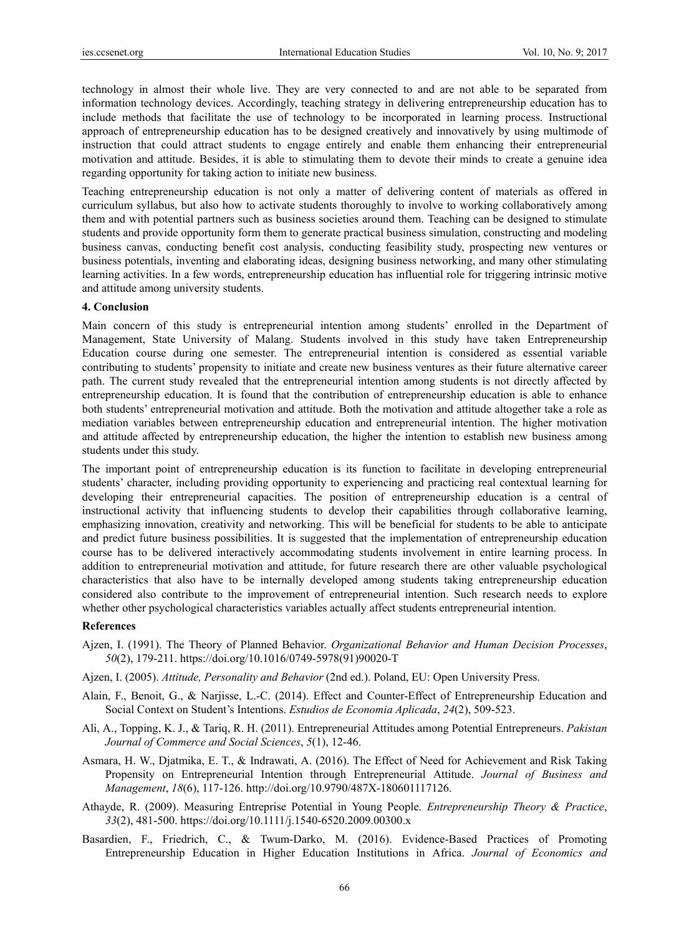technology in almost their whole live. They are very connected to and are not able to be separated from information technology devices. Accordingly, teaching strategy in delivering entrepreneurship education has to include methods that facilitate the use of technology to be incorporated in learning process. Instructional approach of entrepreneurship education has to be designed creatively and innovatively by using multimode of instruction that could attract students to engage entirely and enable them enhancing their entrepreneurial motivation and attitude. Besides, it is able to stimulating them to devote their minds to create a genuine idea regarding opportunity for taking action to initiate new business.

Teaching entrepreneurship education is not only a matter of delivering content of materials as offered in curriculum syllabus, but also how to activate students thoroughly to involve to working collaboratively among them and with potential partners such as business societies around them. Teaching can be designed to stimulate students and provide opportunity form them to generate practical business simulation, constructing and modeling business canvas, conducting benefit cost analysis, conducting feasibility study, prospecting new ventures or business potentials, inventing and elaborating ideas, designing business networking, and many other stimulating learning activities. In a few words, entrepreneurship education has influential role for triggering intrinsic motive and attitude among university students.

#### **4. Conclusion**

Main concern of this study is entrepreneurial intention among students' enrolled in the Department of Management, State University of Malang. Students involved in this study have taken Entrepreneurship Education course during one semester. The entrepreneurial intention is considered as essential variable contributing to students' propensity to initiate and create new business ventures as their future alternative career path. The current study revealed that the entrepreneurial intention among students is not directly affected by entrepreneurship education. It is found that the contribution of entrepreneurship education is able to enhance both students' entrepreneurial motivation and attitude. Both the motivation and attitude altogether take a role as mediation variables between entrepreneurship education and entrepreneurial intention. The higher motivation and attitude affected by entrepreneurship education, the higher the intention to establish new business among students under this study.

The important point of entrepreneurship education is its function to facilitate in developing entrepreneurial students' character, including providing opportunity to experiencing and practicing real contextual learning for developing their entrepreneurial capacities. The position of entrepreneurship education is a central of instructional activity that influencing students to develop their capabilities through collaborative learning, emphasizing innovation, creativity and networking. This will be beneficial for students to be able to anticipate and predict future business possibilities. It is suggested that the implementation of entrepreneurship education course has to be delivered interactively accommodating students involvement in entire learning process. In addition to entrepreneurial motivation and attitude, for future research there are other valuable psychological characteristics that also have to be internally developed among students taking entrepreneurship education considered also contribute to the improvement of entrepreneurial intention. Such research needs to explore whether other psychological characteristics variables actually affect students entrepreneurial intention.

#### **References**

- Ajzen, I. (1991). The Theory of Planned Behavior. *Organizational Behavior and Human Decision Processes*, *50*(2), 179-211. https://doi.org/10.1016/0749-5978(91)90020-T
- Ajzen, I. (2005). *Attitude, Personality and Behavior* (2nd ed.). Poland, EU: Open University Press.
- Alain, F., Benoit, G., & Narjisse, L.-C. (2014). Effect and Counter-Effect of Entrepreneurship Education and Social Context on Student's Intentions. *Estudios de Economia Aplicada*, *24*(2), 509-523.
- Ali, A., Topping, K. J., & Tariq, R. H. (2011). Entrepreneurial Attitudes among Potential Entrepreneurs. *Pakistan Journal of Commerce and Social Sciences*, *5*(1), 12-46.
- Asmara, H. W., Djatmika, E. T., & Indrawati, A. (2016). The Effect of Need for Achievement and Risk Taking Propensity on Entrepreneurial Intention through Entrepreneurial Attitude. *Journal of Business and Management*, *18*(6), 117-126. http://doi.org/10.9790/487X-180601117126.
- Athayde, R. (2009). Measuring Entreprise Potential in Young People. *Entrepreneurship Theory & Practice*, *33*(2), 481-500. https://doi.org/10.1111/j.1540-6520.2009.00300.x
- Basardien, F., Friedrich, C., & Twum-Darko, M. (2016). Evidence-Based Practices of Promoting Entrepreneurship Education in Higher Education Institutions in Africa. *Journal of Economics and*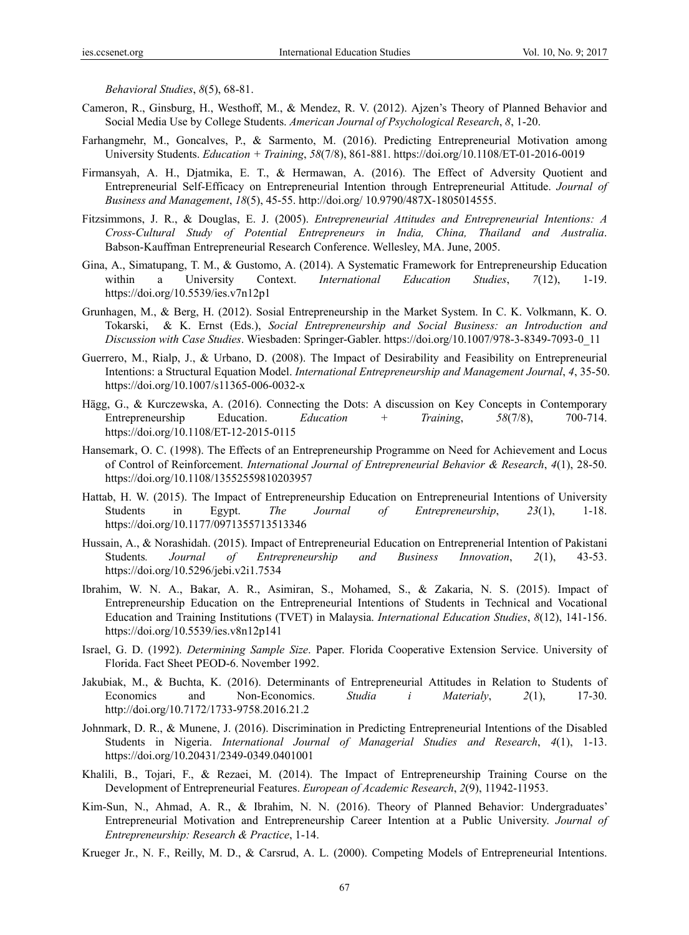*Behavioral Studies*, *8*(5), 68-81.

- Cameron, R., Ginsburg, H., Westhoff, M., & Mendez, R. V. (2012). Ajzen's Theory of Planned Behavior and Social Media Use by College Students. *American Journal of Psychological Research*, *8*, 1-20.
- Farhangmehr, M., Goncalves, P., & Sarmento, M. (2016). Predicting Entrepreneurial Motivation among University Students. *Education + Training*, *58*(7/8), 861-881. https://doi.org/10.1108/ET-01-2016-0019
- Firmansyah, A. H., Djatmika, E. T., & Hermawan, A. (2016). The Effect of Adversity Quotient and Entrepreneurial Self-Efficacy on Entrepreneurial Intention through Entrepreneurial Attitude. *Journal of Business and Management*, *18*(5), 45-55. http://doi.org/ 10.9790/487X-1805014555.
- Fitzsimmons, J. R., & Douglas, E. J. (2005). *Entrepreneurial Attitudes and Entrepreneurial Intentions: A Cross-Cultural Study of Potential Entrepreneurs in India, China, Thailand and Australia*. Babson-Kauffman Entrepreneurial Research Conference. Wellesley, MA. June, 2005.
- Gina, A., Simatupang, T. M., & Gustomo, A. (2014). A Systematic Framework for Entrepreneurship Education within a University Context. *International Education Studies*, *7*(12), 1-19. https://doi.org/10.5539/ies.v7n12p1
- Grunhagen, M., & Berg, H. (2012). Sosial Entrepreneurship in the Market System. In C. K. Volkmann, K. O. Tokarski, & K. Ernst (Eds.), *Social Entrepreneurship and Social Business: an Introduction and Discussion with Case Studies*. Wiesbaden: Springer-Gabler. https://doi.org/10.1007/978-3-8349-7093-0\_11
- Guerrero, M., Rialp, J., & Urbano, D. (2008). The Impact of Desirability and Feasibility on Entrepreneurial Intentions: a Structural Equation Model. *International Entrepreneurship and Management Journal*, *4*, 35-50. https://doi.org/10.1007/s11365-006-0032-x
- Hägg, G., & Kurczewska, A. (2016). Connecting the Dots: A discussion on Key Concepts in Contemporary Entrepreneurship Education. *Education + Training*, *58*(7/8), 700-714. https://doi.org/10.1108/ET-12-2015-0115
- Hansemark, O. C. (1998). The Effects of an Entrepreneurship Programme on Need for Achievement and Locus of Control of Reinforcement. *International Journal of Entrepreneurial Behavior & Research*, *4*(1), 28-50. https://doi.org/10.1108/13552559810203957
- Hattab, H. W. (2015). The Impact of Entrepreneurship Education on Entrepreneurial Intentions of University Students in Egypt. *The Journal of Entrepreneurship*, *23*(1), 1-18. https://doi.org/10.1177/0971355713513346
- Hussain, A., & Norashidah. (2015). Impact of Entrepreneurial Education on Entreprenerial Intention of Pakistani Students*. Journal of Entrepreneurship and Business Innovation*, *2*(1), 43-53. https://doi.org/10.5296/jebi.v2i1.7534
- Ibrahim, W. N. A., Bakar, A. R., Asimiran, S., Mohamed, S., & Zakaria, N. S. (2015). Impact of Entrepreneurship Education on the Entrepreneurial Intentions of Students in Technical and Vocational Education and Training Institutions (TVET) in Malaysia. *International Education Studies*, *8*(12), 141-156. https://doi.org/10.5539/ies.v8n12p141
- Israel, G. D. (1992). *Determining Sample Size*. Paper. Florida Cooperative Extension Service. University of Florida. Fact Sheet PEOD-6. November 1992.
- Jakubiak, M., & Buchta, K. (2016). Determinants of Entrepreneurial Attitudes in Relation to Students of Economics and Non-Economics. *Studia i Materialy*, *2*(1), 17-30. http://doi.org/10.7172/1733-9758.2016.21.2
- Johnmark, D. R., & Munene, J. (2016). Discrimination in Predicting Entrepreneurial Intentions of the Disabled Students in Nigeria. *International Journal of Managerial Studies and Research*, *4*(1), 1-13. https://doi.org/10.20431/2349-0349.0401001
- Khalili, B., Tojari, F., & Rezaei, M. (2014). The Impact of Entrepreneurship Training Course on the Development of Entrepreneurial Features. *European of Academic Research*, *2*(9), 11942-11953.
- Kim-Sun, N., Ahmad, A. R., & Ibrahim, N. N. (2016). Theory of Planned Behavior: Undergraduates' Entrepreneurial Motivation and Entrepreneurship Career Intention at a Public University. *Journal of Entrepreneurship: Research & Practice*, 1-14.
- Krueger Jr., N. F., Reilly, M. D., & Carsrud, A. L. (2000). Competing Models of Entrepreneurial Intentions.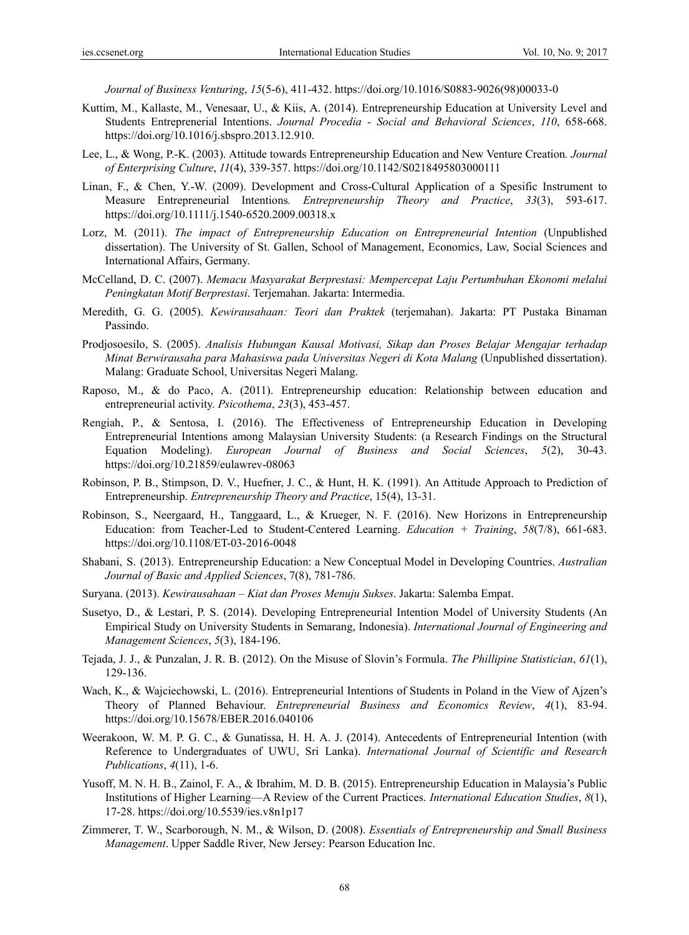*Journal of Business Venturing*, *15*(5-6), 411-432. https://doi.org/10.1016/S0883-9026(98)00033-0

- Kuttim, M., Kallaste, M., Venesaar, U., & Kiis, A. (2014). Entrepreneurship Education at University Level and Students Entreprenerial Intentions. *Journal Procedia - Social and Behavioral Sciences*, *110*, 658-668. https://doi.org/10.1016/j.sbspro.2013.12.910.
- Lee, L., & Wong, P.-K. (2003). Attitude towards Entrepreneurship Education and New Venture Creation*. Journal of Enterprising Culture*, *11*(4), 339-357. https://doi.org/10.1142/S0218495803000111
- Linan, F., & Chen, Y.-W. (2009). Development and Cross-Cultural Application of a Spesific Instrument to Measure Entrepreneurial Intentions*. Entrepreneurship Theory and Practice*, *33*(3), 593-617. https://doi.org/10.1111/j.1540-6520.2009.00318.x
- Lorz, M. (2011). *The impact of Entrepreneurship Education on Entrepreneurial Intention* (Unpublished dissertation). The University of St. Gallen, School of Management, Economics, Law, Social Sciences and International Affairs, Germany.
- McCelland, D. C. (2007). *Memacu Masyarakat Berprestasi: Mempercepat Laju Pertumbuhan Ekonomi melalui Peningkatan Motif Berprestasi*. Terjemahan. Jakarta: Intermedia.
- Meredith, G. G. (2005). *Kewirausahaan: Teori dan Praktek* (terjemahan). Jakarta: PT Pustaka Binaman Passindo.
- Prodjosoesilo, S. (2005). *Analisis Hubungan Kausal Motivasi, Sikap dan Proses Belajar Mengajar terhadap Minat Berwirausaha para Mahasiswa pada Universitas Negeri di Kota Malang* (Unpublished dissertation). Malang: Graduate School, Universitas Negeri Malang.
- Raposo, M., & do Paco, A. (2011). Entrepreneurship education: Relationship between education and entrepreneurial activity. *Psicothema*, *23*(3), 453-457.
- Rengiah, P., & Sentosa, I. (2016). The Effectiveness of Entrepreneurship Education in Developing Entrepreneurial Intentions among Malaysian University Students: (a Research Findings on the Structural Equation Modeling). *European Journal of Business and Social Sciences*, *5*(2), 30-43. https://doi.org/10.21859/eulawrev-08063
- Robinson, P. B., Stimpson, D. V., Huefner, J. C., & Hunt, H. K. (1991). An Attitude Approach to Prediction of Entrepreneurship. *Entrepreneurship Theory and Practice*, 15(4), 13-31.
- Robinson, S., Neergaard, H., Tanggaard, L., & Krueger, N. F. (2016). New Horizons in Entrepreneurship Education: from Teacher-Led to Student-Centered Learning. *Education + Training*, *58*(7/8), 661-683. https://doi.org/10.1108/ET-03-2016-0048
- Shabani, S. (2013). Entrepreneurship Education: a New Conceptual Model in Developing Countries. *Australian Journal of Basic and Applied Sciences*, 7(8), 781-786.
- Suryana. (2013). *Kewirausahaan Kiat dan Proses Menuju Sukses*. Jakarta: Salemba Empat.
- Susetyo, D., & Lestari, P. S. (2014). Developing Entrepreneurial Intention Model of University Students (An Empirical Study on University Students in Semarang, Indonesia). *International Journal of Engineering and Management Sciences*, *5*(3), 184-196.
- Tejada, J. J., & Punzalan, J. R. B. (2012). On the Misuse of Slovin's Formula. *The Phillipine Statistician*, *61*(1), 129-136.
- Wach, K., & Wajciechowski, L. (2016). Entrepreneurial Intentions of Students in Poland in the View of Ajzen's Theory of Planned Behaviour. *Entrepreneurial Business and Economics Review*, *4*(1), 83-94. https://doi.org/10.15678/EBER.2016.040106
- Weerakoon, W. M. P. G. C., & Gunatissa, H. H. A. J. (2014). Antecedents of Entrepreneurial Intention (with Reference to Undergraduates of UWU, Sri Lanka). *International Journal of Scientific and Research Publications*, *4*(11), 1-6.
- Yusoff, M. N. H. B., Zainol, F. A., & Ibrahim, M. D. B. (2015). Entrepreneurship Education in Malaysia's Public Institutions of Higher Learning—A Review of the Current Practices. *International Education Studies*, *8*(1), 17-28. https://doi.org/10.5539/ies.v8n1p17
- Zimmerer, T. W., Scarborough, N. M., & Wilson, D. (2008). *Essentials of Entrepreneurship and Small Business Management*. Upper Saddle River, New Jersey: Pearson Education Inc.